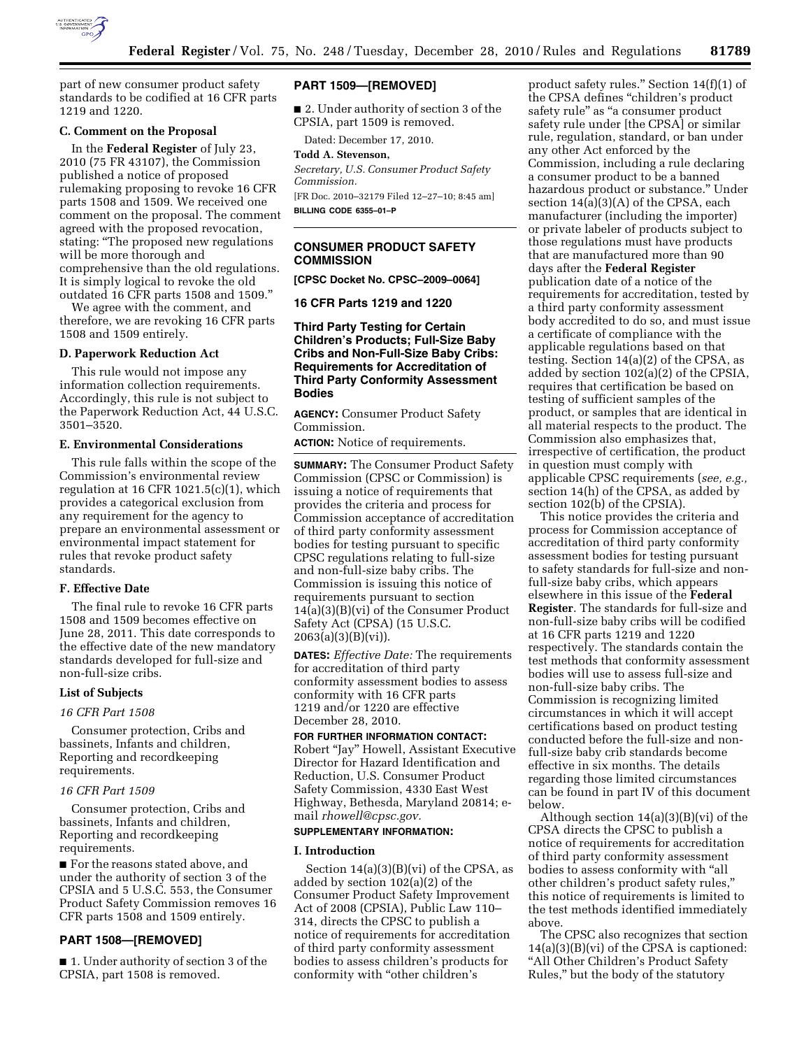

part of new consumer product safety standards to be codified at 16 CFR parts 1219 and 1220.

# **C. Comment on the Proposal**

In the **Federal Register** of July 23, 2010 (75 FR 43107), the Commission published a notice of proposed rulemaking proposing to revoke 16 CFR parts 1508 and 1509. We received one comment on the proposal. The comment agreed with the proposed revocation, stating: ''The proposed new regulations will be more thorough and comprehensive than the old regulations. It is simply logical to revoke the old outdated 16 CFR parts 1508 and 1509.''

We agree with the comment, and therefore, we are revoking 16 CFR parts 1508 and 1509 entirely.

## **D. Paperwork Reduction Act**

This rule would not impose any information collection requirements. Accordingly, this rule is not subject to the Paperwork Reduction Act, 44 U.S.C. 3501–3520.

## **E. Environmental Considerations**

This rule falls within the scope of the Commission's environmental review regulation at 16 CFR 1021.5(c)(1), which provides a categorical exclusion from any requirement for the agency to prepare an environmental assessment or environmental impact statement for rules that revoke product safety standards.

#### **F. Effective Date**

The final rule to revoke 16 CFR parts 1508 and 1509 becomes effective on June 28, 2011. This date corresponds to the effective date of the new mandatory standards developed for full-size and non-full-size cribs.

#### **List of Subjects**

#### *16 CFR Part 1508*

Consumer protection, Cribs and bassinets, Infants and children, Reporting and recordkeeping requirements.

#### *16 CFR Part 1509*

Consumer protection, Cribs and bassinets, Infants and children, Reporting and recordkeeping requirements.

■ For the reasons stated above, and under the authority of section 3 of the CPSIA and 5 U.S.C. 553, the Consumer Product Safety Commission removes 16 CFR parts 1508 and 1509 entirely.

# **PART 1508—[REMOVED]**

■ 1. Under authority of section 3 of the CPSIA, part 1508 is removed.

# **PART 1509—[REMOVED]**

■ 2. Under authority of section 3 of the CPSIA, part 1509 is removed.

Dated: December 17, 2010.

## **Todd A. Stevenson,**

*Secretary, U.S. Consumer Product Safety Commission.* 

[FR Doc. 2010–32179 Filed 12–27–10; 8:45 am] **BILLING CODE 6355–01–P** 

## **CONSUMER PRODUCT SAFETY COMMISSION**

**[CPSC Docket No. CPSC–2009–0064]** 

**16 CFR Parts 1219 and 1220** 

**Third Party Testing for Certain Children's Products; Full-Size Baby Cribs and Non-Full-Size Baby Cribs: Requirements for Accreditation of Third Party Conformity Assessment Bodies** 

**AGENCY:** Consumer Product Safety Commission.

**ACTION:** Notice of requirements.

**SUMMARY:** The Consumer Product Safety Commission (CPSC or Commission) is issuing a notice of requirements that provides the criteria and process for Commission acceptance of accreditation of third party conformity assessment bodies for testing pursuant to specific CPSC regulations relating to full-size and non-full-size baby cribs. The Commission is issuing this notice of requirements pursuant to section 14(a)(3)(B)(vi) of the Consumer Product Safety Act (CPSA) (15 U.S.C. 2063(a)(3)(B)(vi)).

**DATES:** *Effective Date:* The requirements for accreditation of third party conformity assessment bodies to assess conformity with 16 CFR parts 1219 and/or 1220 are effective December 28, 2010.

**FOR FURTHER INFORMATION CONTACT:**  Robert ''Jay'' Howell, Assistant Executive Director for Hazard Identification and Reduction, U.S. Consumer Product Safety Commission, 4330 East West Highway, Bethesda, Maryland 20814; email *[rhowell@cpsc.gov.](mailto:rhowell@cpsc.gov)* 

#### **SUPPLEMENTARY INFORMATION:**

#### **I. Introduction**

Section 14(a)(3)(B)(vi) of the CPSA, as added by section 102(a)(2) of the Consumer Product Safety Improvement Act of 2008 (CPSIA), Public Law 110– 314, directs the CPSC to publish a notice of requirements for accreditation of third party conformity assessment bodies to assess children's products for conformity with ''other children's

product safety rules.'' Section 14(f)(1) of the CPSA defines ''children's product safety rule'' as ''a consumer product safety rule under [the CPSA] or similar rule, regulation, standard, or ban under any other Act enforced by the Commission, including a rule declaring a consumer product to be a banned hazardous product or substance.'' Under section 14(a)(3)(A) of the CPSA, each manufacturer (including the importer) or private labeler of products subject to those regulations must have products that are manufactured more than 90 days after the **Federal Register**  publication date of a notice of the requirements for accreditation, tested by a third party conformity assessment body accredited to do so, and must issue a certificate of compliance with the applicable regulations based on that testing. Section 14(a)(2) of the CPSA, as added by section 102(a)(2) of the CPSIA, requires that certification be based on testing of sufficient samples of the product, or samples that are identical in all material respects to the product. The Commission also emphasizes that, irrespective of certification, the product in question must comply with applicable CPSC requirements (*see, e.g.,*  section 14(h) of the CPSA, as added by section 102(b) of the CPSIA).

This notice provides the criteria and process for Commission acceptance of accreditation of third party conformity assessment bodies for testing pursuant to safety standards for full-size and nonfull-size baby cribs, which appears elsewhere in this issue of the **Federal Register**. The standards for full-size and non-full-size baby cribs will be codified at 16 CFR parts 1219 and 1220 respectively. The standards contain the test methods that conformity assessment bodies will use to assess full-size and non-full-size baby cribs. The Commission is recognizing limited circumstances in which it will accept certifications based on product testing conducted before the full-size and nonfull-size baby crib standards become effective in six months. The details regarding those limited circumstances can be found in part IV of this document below.

Although section 14(a)(3)(B)(vi) of the CPSA directs the CPSC to publish a notice of requirements for accreditation of third party conformity assessment bodies to assess conformity with ''all other children's product safety rules,'' this notice of requirements is limited to the test methods identified immediately above.

The CPSC also recognizes that section 14(a)(3)(B)(vi) of the CPSA is captioned: ''All Other Children's Product Safety Rules,'' but the body of the statutory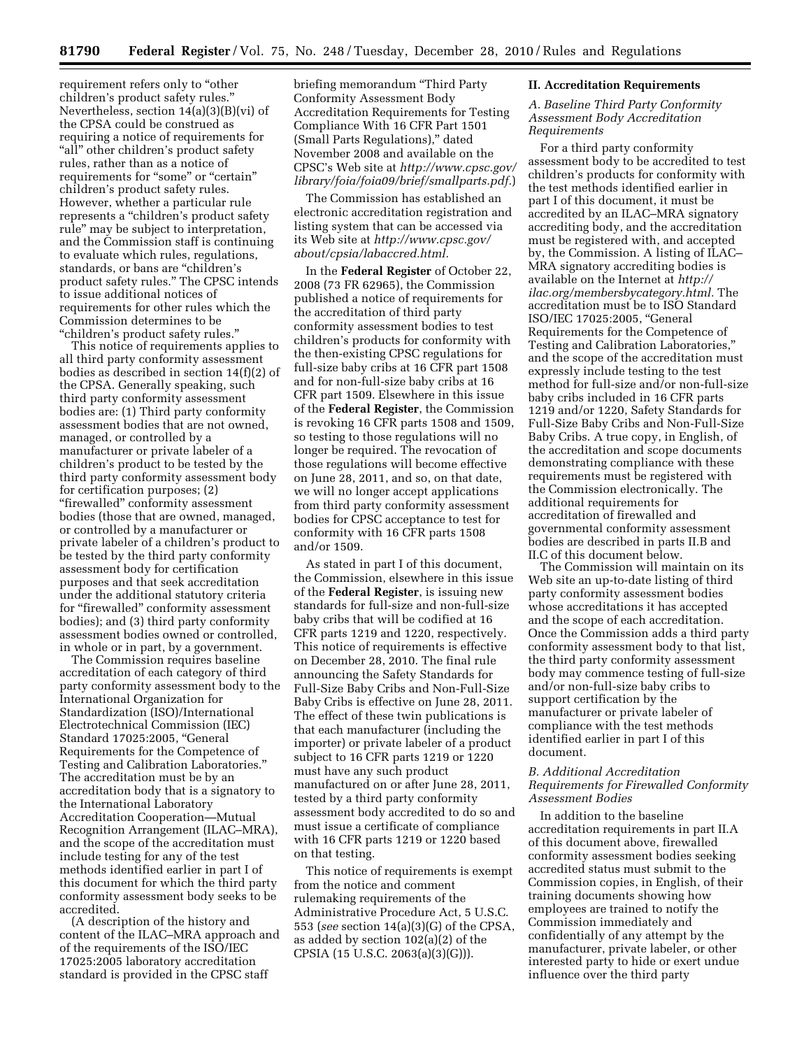requirement refers only to ''other children's product safety rules.'' Nevertheless, section 14(a)(3)(B)(vi) of the CPSA could be construed as requiring a notice of requirements for "all" other children's product safety rules, rather than as a notice of requirements for "some" or "certain" children's product safety rules. However, whether a particular rule represents a ''children's product safety rule'' may be subject to interpretation, and the Commission staff is continuing to evaluate which rules, regulations, standards, or bans are ''children's product safety rules.'' The CPSC intends to issue additional notices of requirements for other rules which the Commission determines to be ''children's product safety rules.''

This notice of requirements applies to all third party conformity assessment bodies as described in section 14(f)(2) of the CPSA. Generally speaking, such third party conformity assessment bodies are: (1) Third party conformity assessment bodies that are not owned, managed, or controlled by a manufacturer or private labeler of a children's product to be tested by the third party conformity assessment body for certification purposes; (2) ''firewalled'' conformity assessment bodies (those that are owned, managed, or controlled by a manufacturer or private labeler of a children's product to be tested by the third party conformity assessment body for certification purposes and that seek accreditation under the additional statutory criteria for ''firewalled'' conformity assessment bodies); and (3) third party conformity assessment bodies owned or controlled, in whole or in part, by a government.

The Commission requires baseline accreditation of each category of third party conformity assessment body to the International Organization for Standardization (ISO)/International Electrotechnical Commission (IEC) Standard 17025:2005, ''General Requirements for the Competence of Testing and Calibration Laboratories.'' The accreditation must be by an accreditation body that is a signatory to the International Laboratory Accreditation Cooperation—Mutual Recognition Arrangement (ILAC–MRA), and the scope of the accreditation must include testing for any of the test methods identified earlier in part I of this document for which the third party conformity assessment body seeks to be accredited.

(A description of the history and content of the ILAC–MRA approach and of the requirements of the ISO/IEC 17025:2005 laboratory accreditation standard is provided in the CPSC staff

briefing memorandum ''Third Party Conformity Assessment Body Accreditation Requirements for Testing Compliance With 16 CFR Part 1501 (Small Parts Regulations),'' dated November 2008 and available on the CPSC's Web site at *[http://www.cpsc.gov/](http://www.cpsc.gov/library/foia/foia09/brief/smallparts.pdf)  [library/foia/foia09/brief/smallparts.pdf.](http://www.cpsc.gov/library/foia/foia09/brief/smallparts.pdf)*)

The Commission has established an electronic accreditation registration and listing system that can be accessed via its Web site at *[http://www.cpsc.gov/](http://www.cpsc.gov/about/cpsia/labaccred.html) [about/cpsia/labaccred.html.](http://www.cpsc.gov/about/cpsia/labaccred.html)* 

In the **Federal Register** of October 22, 2008 (73 FR 62965), the Commission published a notice of requirements for the accreditation of third party conformity assessment bodies to test children's products for conformity with the then-existing CPSC regulations for full-size baby cribs at 16 CFR part 1508 and for non-full-size baby cribs at 16 CFR part 1509. Elsewhere in this issue of the **Federal Register**, the Commission is revoking 16 CFR parts 1508 and 1509, so testing to those regulations will no longer be required. The revocation of those regulations will become effective on June 28, 2011, and so, on that date, we will no longer accept applications from third party conformity assessment bodies for CPSC acceptance to test for conformity with 16 CFR parts 1508 and/or 1509.

As stated in part I of this document, the Commission, elsewhere in this issue of the **Federal Register**, is issuing new standards for full-size and non-full-size baby cribs that will be codified at 16 CFR parts 1219 and 1220, respectively. This notice of requirements is effective on December 28, 2010. The final rule announcing the Safety Standards for Full-Size Baby Cribs and Non-Full-Size Baby Cribs is effective on June 28, 2011. The effect of these twin publications is that each manufacturer (including the importer) or private labeler of a product subject to 16 CFR parts 1219 or 1220 must have any such product manufactured on or after June 28, 2011, tested by a third party conformity assessment body accredited to do so and must issue a certificate of compliance with 16 CFR parts 1219 or 1220 based on that testing.

This notice of requirements is exempt from the notice and comment rulemaking requirements of the Administrative Procedure Act, 5 U.S.C. 553 (*see* section 14(a)(3)(G) of the CPSA, as added by section 102(a)(2) of the CPSIA (15 U.S.C. 2063(a)(3)(G))).

#### **II. Accreditation Requirements**

*A. Baseline Third Party Conformity Assessment Body Accreditation Requirements* 

For a third party conformity assessment body to be accredited to test children's products for conformity with the test methods identified earlier in part I of this document, it must be accredited by an ILAC–MRA signatory accrediting body, and the accreditation must be registered with, and accepted by, the Commission. A listing of ILAC– MRA signatory accrediting bodies is available on the Internet at *[http://](http://ilac.org/membersbycategory.html) [ilac.org/membersbycategory.html.](http://ilac.org/membersbycategory.html)* The accreditation must be to ISO Standard ISO/IEC 17025:2005, ''General Requirements for the Competence of Testing and Calibration Laboratories,'' and the scope of the accreditation must expressly include testing to the test method for full-size and/or non-full-size baby cribs included in 16 CFR parts 1219 and/or 1220, Safety Standards for Full-Size Baby Cribs and Non-Full-Size Baby Cribs. A true copy, in English, of the accreditation and scope documents demonstrating compliance with these requirements must be registered with the Commission electronically. The additional requirements for accreditation of firewalled and governmental conformity assessment bodies are described in parts II.B and II.C of this document below.

The Commission will maintain on its Web site an up-to-date listing of third party conformity assessment bodies whose accreditations it has accepted and the scope of each accreditation. Once the Commission adds a third party conformity assessment body to that list, the third party conformity assessment body may commence testing of full-size and/or non-full-size baby cribs to support certification by the manufacturer or private labeler of compliance with the test methods identified earlier in part I of this document.

# *B. Additional Accreditation Requirements for Firewalled Conformity Assessment Bodies*

In addition to the baseline accreditation requirements in part II.A of this document above, firewalled conformity assessment bodies seeking accredited status must submit to the Commission copies, in English, of their training documents showing how employees are trained to notify the Commission immediately and confidentially of any attempt by the manufacturer, private labeler, or other interested party to hide or exert undue influence over the third party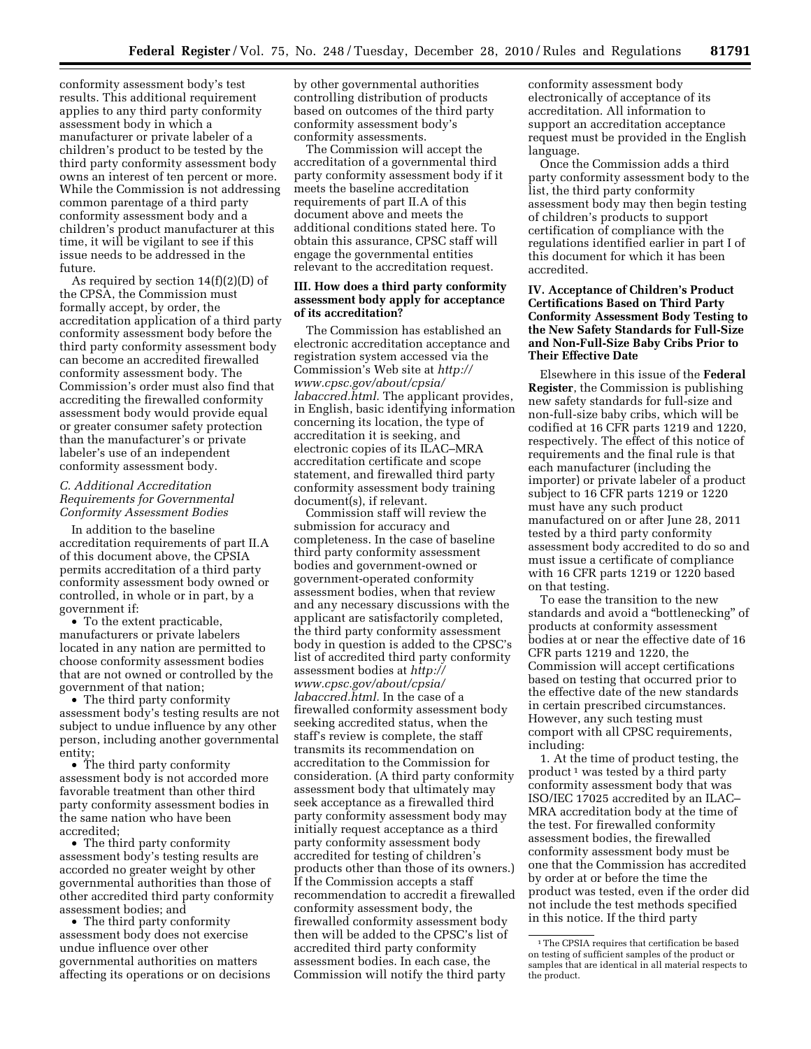conformity assessment body's test results. This additional requirement applies to any third party conformity assessment body in which a manufacturer or private labeler of a children's product to be tested by the third party conformity assessment body owns an interest of ten percent or more. While the Commission is not addressing common parentage of a third party conformity assessment body and a children's product manufacturer at this time, it will be vigilant to see if this issue needs to be addressed in the future.

As required by section 14(f)(2)(D) of the CPSA, the Commission must formally accept, by order, the accreditation application of a third party conformity assessment body before the third party conformity assessment body can become an accredited firewalled conformity assessment body. The Commission's order must also find that accrediting the firewalled conformity assessment body would provide equal or greater consumer safety protection than the manufacturer's or private labeler's use of an independent conformity assessment body.

## *C. Additional Accreditation Requirements for Governmental Conformity Assessment Bodies*

In addition to the baseline accreditation requirements of part II.A of this document above, the CPSIA permits accreditation of a third party conformity assessment body owned or controlled, in whole or in part, by a government if:

• To the extent practicable, manufacturers or private labelers located in any nation are permitted to choose conformity assessment bodies that are not owned or controlled by the government of that nation;

• The third party conformity assessment body's testing results are not subject to undue influence by any other person, including another governmental entity;

• The third party conformity assessment body is not accorded more favorable treatment than other third party conformity assessment bodies in the same nation who have been accredited;

• The third party conformity assessment body's testing results are accorded no greater weight by other governmental authorities than those of other accredited third party conformity assessment bodies; and

• The third party conformity assessment body does not exercise undue influence over other governmental authorities on matters affecting its operations or on decisions by other governmental authorities controlling distribution of products based on outcomes of the third party conformity assessment body's conformity assessments.

The Commission will accept the accreditation of a governmental third party conformity assessment body if it meets the baseline accreditation requirements of part II.A of this document above and meets the additional conditions stated here. To obtain this assurance, CPSC staff will engage the governmental entities relevant to the accreditation request.

## **III. How does a third party conformity assessment body apply for acceptance of its accreditation?**

The Commission has established an electronic accreditation acceptance and registration system accessed via the Commission's Web site at *[http://](http://www.cpsc.gov/about/cpsia/labaccred.html)  [www.cpsc.gov/about/cpsia/](http://www.cpsc.gov/about/cpsia/labaccred.html) [labaccred.html.](http://www.cpsc.gov/about/cpsia/labaccred.html)* The applicant provides, in English, basic identifying information concerning its location, the type of accreditation it is seeking, and electronic copies of its ILAC–MRA accreditation certificate and scope statement, and firewalled third party conformity assessment body training document(s), if relevant.

Commission staff will review the submission for accuracy and completeness. In the case of baseline third party conformity assessment bodies and government-owned or government-operated conformity assessment bodies, when that review and any necessary discussions with the applicant are satisfactorily completed, the third party conformity assessment body in question is added to the CPSC's list of accredited third party conformity assessment bodies at *[http://](http://www.cpsc.gov/about/cpsia/labaccred.html) [www.cpsc.gov/about/cpsia/](http://www.cpsc.gov/about/cpsia/labaccred.html) [labaccred.html.](http://www.cpsc.gov/about/cpsia/labaccred.html)* In the case of a firewalled conformity assessment body seeking accredited status, when the staff's review is complete, the staff transmits its recommendation on accreditation to the Commission for consideration. (A third party conformity assessment body that ultimately may seek acceptance as a firewalled third party conformity assessment body may initially request acceptance as a third party conformity assessment body accredited for testing of children's products other than those of its owners.) If the Commission accepts a staff recommendation to accredit a firewalled conformity assessment body, the firewalled conformity assessment body then will be added to the CPSC's list of accredited third party conformity assessment bodies. In each case, the Commission will notify the third party

conformity assessment body electronically of acceptance of its accreditation. All information to support an accreditation acceptance request must be provided in the English language.

Once the Commission adds a third party conformity assessment body to the list, the third party conformity assessment body may then begin testing of children's products to support certification of compliance with the regulations identified earlier in part I of this document for which it has been accredited.

# **IV. Acceptance of Children's Product Certifications Based on Third Party Conformity Assessment Body Testing to the New Safety Standards for Full-Size and Non-Full-Size Baby Cribs Prior to Their Effective Date**

Elsewhere in this issue of the **Federal Register**, the Commission is publishing new safety standards for full-size and non-full-size baby cribs, which will be codified at 16 CFR parts 1219 and 1220, respectively. The effect of this notice of requirements and the final rule is that each manufacturer (including the importer) or private labeler of a product subject to 16 CFR parts 1219 or 1220 must have any such product manufactured on or after June 28, 2011 tested by a third party conformity assessment body accredited to do so and must issue a certificate of compliance with 16 CFR parts 1219 or 1220 based on that testing.

To ease the transition to the new standards and avoid a ''bottlenecking'' of products at conformity assessment bodies at or near the effective date of 16 CFR parts 1219 and 1220, the Commission will accept certifications based on testing that occurred prior to the effective date of the new standards in certain prescribed circumstances. However, any such testing must comport with all CPSC requirements, including:

1. At the time of product testing, the  $product<sup>1</sup>$  was tested by a third party conformity assessment body that was ISO/IEC 17025 accredited by an ILAC– MRA accreditation body at the time of the test. For firewalled conformity assessment bodies, the firewalled conformity assessment body must be one that the Commission has accredited by order at or before the time the product was tested, even if the order did not include the test methods specified in this notice. If the third party

<sup>1</sup>The CPSIA requires that certification be based on testing of sufficient samples of the product or samples that are identical in all material respects to the product.